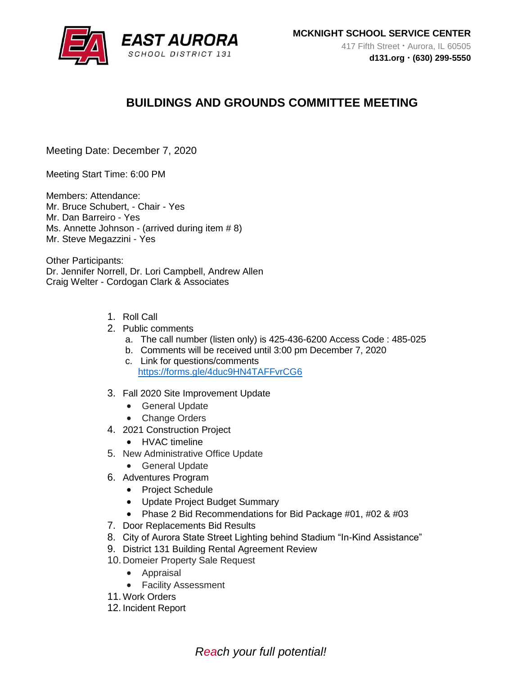

# **BUILDINGS AND GROUNDS COMMITTEE MEETING**

Meeting Date: December 7, 2020

Meeting Start Time: 6:00 PM

Members: Attendance: Mr. Bruce Schubert, - Chair - Yes Mr. Dan Barreiro - Yes Ms. Annette Johnson - (arrived during item # 8) Mr. Steve Megazzini - Yes

Other Participants: Dr. Jennifer Norrell, Dr. Lori Campbell, Andrew Allen Craig Welter - Cordogan Clark & Associates

- 1. Roll Call
- 2. Public comments
	- a. The call number (listen only) is 425-436-6200 Access Code : 485-025
	- b. Comments will be received until 3:00 pm December 7, 2020
	- c. Link for questions/comments <https://forms.gle/4duc9HN4TAFFvrCG6>
- 3. Fall 2020 Site Improvement Update
	- General Update
	- Change Orders
- 4. 2021 Construction Project
	- HVAC timeline
- 5. New Administrative Office Update
	- General Update
- 6. Adventures Program
	- Project Schedule
	- Update Project Budget Summary
	- Phase 2 Bid Recommendations for Bid Package #01, #02 & #03
- 7. Door Replacements Bid Results
- 8. City of Aurora State Street Lighting behind Stadium "In-Kind Assistance"
- 9. District 131 Building Rental Agreement Review
- 10. Domeier Property Sale Request
	- Appraisal
	- Facility Assessment
- 11.Work Orders
- 12. Incident Report

*Reach your full potential!*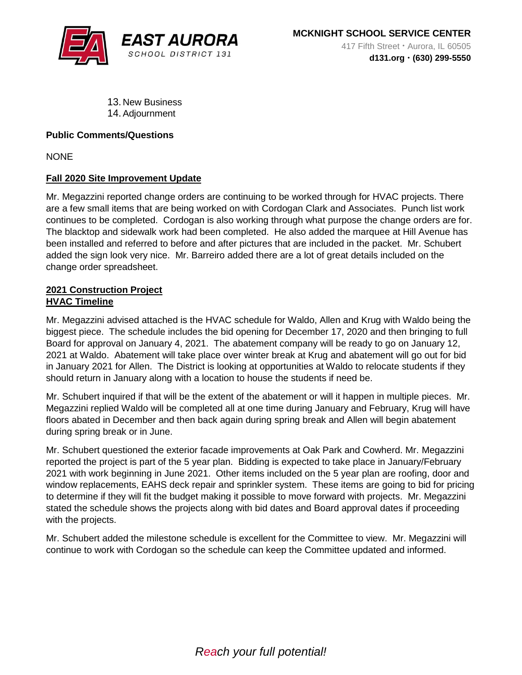

13. New Business 14.Adjournment

## **Public Comments/Questions**

**NONE** 

## **Fall 2020 Site Improvement Update**

Mr. Megazzini reported change orders are continuing to be worked through for HVAC projects. There are a few small items that are being worked on with Cordogan Clark and Associates. Punch list work continues to be completed. Cordogan is also working through what purpose the change orders are for. The blacktop and sidewalk work had been completed. He also added the marquee at Hill Avenue has been installed and referred to before and after pictures that are included in the packet. Mr. Schubert added the sign look very nice. Mr. Barreiro added there are a lot of great details included on the change order spreadsheet.

#### **2021 Construction Project HVAC Timeline**

Mr. Megazzini advised attached is the HVAC schedule for Waldo, Allen and Krug with Waldo being the biggest piece. The schedule includes the bid opening for December 17, 2020 and then bringing to full Board for approval on January 4, 2021. The abatement company will be ready to go on January 12, 2021 at Waldo. Abatement will take place over winter break at Krug and abatement will go out for bid in January 2021 for Allen. The District is looking at opportunities at Waldo to relocate students if they should return in January along with a location to house the students if need be.

Mr. Schubert inquired if that will be the extent of the abatement or will it happen in multiple pieces. Mr. Megazzini replied Waldo will be completed all at one time during January and February, Krug will have floors abated in December and then back again during spring break and Allen will begin abatement during spring break or in June.

Mr. Schubert questioned the exterior facade improvements at Oak Park and Cowherd. Mr. Megazzini reported the project is part of the 5 year plan. Bidding is expected to take place in January/February 2021 with work beginning in June 2021. Other items included on the 5 year plan are roofing, door and window replacements, EAHS deck repair and sprinkler system. These items are going to bid for pricing to determine if they will fit the budget making it possible to move forward with projects. Mr. Megazzini stated the schedule shows the projects along with bid dates and Board approval dates if proceeding with the projects.

Mr. Schubert added the milestone schedule is excellent for the Committee to view. Mr. Megazzini will continue to work with Cordogan so the schedule can keep the Committee updated and informed.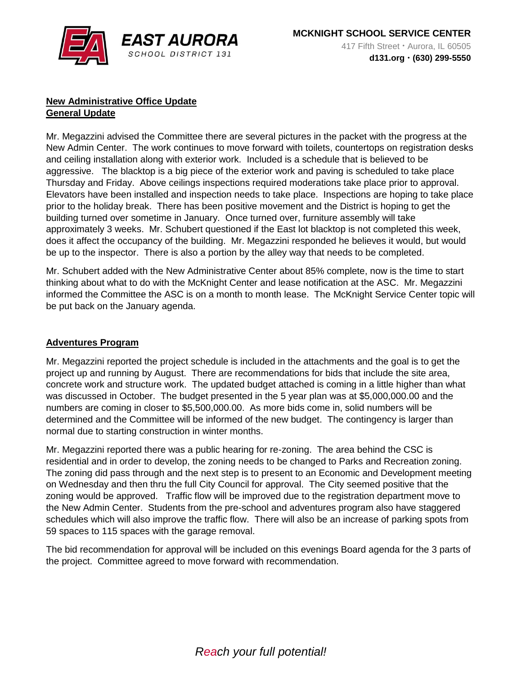

## **New Administrative Office Update General Update**

Mr. Megazzini advised the Committee there are several pictures in the packet with the progress at the New Admin Center. The work continues to move forward with toilets, countertops on registration desks and ceiling installation along with exterior work. Included is a schedule that is believed to be aggressive. The blacktop is a big piece of the exterior work and paving is scheduled to take place Thursday and Friday. Above ceilings inspections required moderations take place prior to approval. Elevators have been installed and inspection needs to take place. Inspections are hoping to take place prior to the holiday break. There has been positive movement and the District is hoping to get the building turned over sometime in January. Once turned over, furniture assembly will take approximately 3 weeks. Mr. Schubert questioned if the East lot blacktop is not completed this week, does it affect the occupancy of the building. Mr. Megazzini responded he believes it would, but would be up to the inspector. There is also a portion by the alley way that needs to be completed.

Mr. Schubert added with the New Administrative Center about 85% complete, now is the time to start thinking about what to do with the McKnight Center and lease notification at the ASC. Mr. Megazzini informed the Committee the ASC is on a month to month lease. The McKnight Service Center topic will be put back on the January agenda.

## **Adventures Program**

Mr. Megazzini reported the project schedule is included in the attachments and the goal is to get the project up and running by August. There are recommendations for bids that include the site area, concrete work and structure work. The updated budget attached is coming in a little higher than what was discussed in October. The budget presented in the 5 year plan was at \$5,000,000.00 and the numbers are coming in closer to \$5,500,000.00. As more bids come in, solid numbers will be determined and the Committee will be informed of the new budget. The contingency is larger than normal due to starting construction in winter months.

Mr. Megazzini reported there was a public hearing for re-zoning. The area behind the CSC is residential and in order to develop, the zoning needs to be changed to Parks and Recreation zoning. The zoning did pass through and the next step is to present to an Economic and Development meeting on Wednesday and then thru the full City Council for approval. The City seemed positive that the zoning would be approved. Traffic flow will be improved due to the registration department move to the New Admin Center. Students from the pre-school and adventures program also have staggered schedules which will also improve the traffic flow. There will also be an increase of parking spots from 59 spaces to 115 spaces with the garage removal.

The bid recommendation for approval will be included on this evenings Board agenda for the 3 parts of the project. Committee agreed to move forward with recommendation.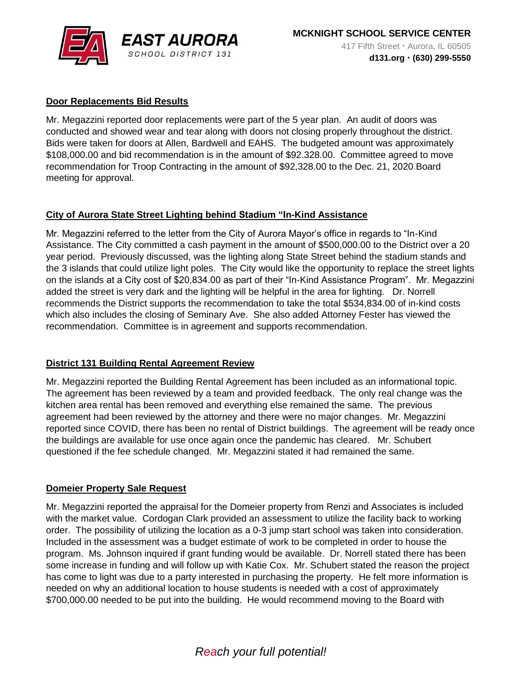

# **Door Replacements Bid Results**

Mr. Megazzini reported door replacements were part of the 5 year plan. An audit of doors was conducted and showed wear and tear along with doors not closing properly throughout the district. Bids were taken for doors at Allen, Bardwell and EAHS. The budgeted amount was approximately \$108,000.00 and bid recommendation is in the amount of \$92.328.00. Committee agreed to move recommendation for Troop Contracting in the amount of \$92,328.00 to the Dec. 21, 2020 Board meeting for approval.

# **City of Aurora State Street Lighting behind Stadium "In-Kind Assistance**

Mr. Megazzini referred to the letter from the City of Aurora Mayor's office in regards to "In-Kind Assistance. The City committed a cash payment in the amount of \$500,000.00 to the District over a 20 year period. Previously discussed, was the lighting along State Street behind the stadium stands and the 3 islands that could utilize light poles. The City would like the opportunity to replace the street lights on the islands at a City cost of \$20,834.00 as part of their "In-Kind Assistance Program". Mr. Megazzini added the street is very dark and the lighting will be helpful in the area for lighting. Dr. Norrell recommends the District supports the recommendation to take the total \$534,834.00 of in-kind costs which also includes the closing of Seminary Ave. She also added Attorney Fester has viewed the recommendation. Committee is in agreement and supports recommendation.

# **District 131 Building Rental Agreement Review**

Mr. Megazzini reported the Building Rental Agreement has been included as an informational topic. The agreement has been reviewed by a team and provided feedback. The only real change was the kitchen area rental has been removed and everything else remained the same. The previous agreement had been reviewed by the attorney and there were no major changes. Mr. Megazzini reported since COVID, there has been no rental of District buildings. The agreement will be ready once the buildings are available for use once again once the pandemic has cleared. Mr. Schubert questioned if the fee schedule changed. Mr. Megazzini stated it had remained the same.

#### **Domeier Property Sale Request**

Mr. Megazzini reported the appraisal for the Domeier property from Renzi and Associates is included with the market value. Cordogan Clark provided an assessment to utilize the facility back to working order. The possibility of utilizing the location as a 0-3 jump start school was taken into consideration. Included in the assessment was a budget estimate of work to be completed in order to house the program. Ms. Johnson inquired if grant funding would be available. Dr. Norrell stated there has been some increase in funding and will follow up with Katie Cox. Mr. Schubert stated the reason the project has come to light was due to a party interested in purchasing the property. He felt more information is needed on why an additional location to house students is needed with a cost of approximately \$700,000.00 needed to be put into the building. He would recommend moving to the Board with

# *Reach your full potential!*